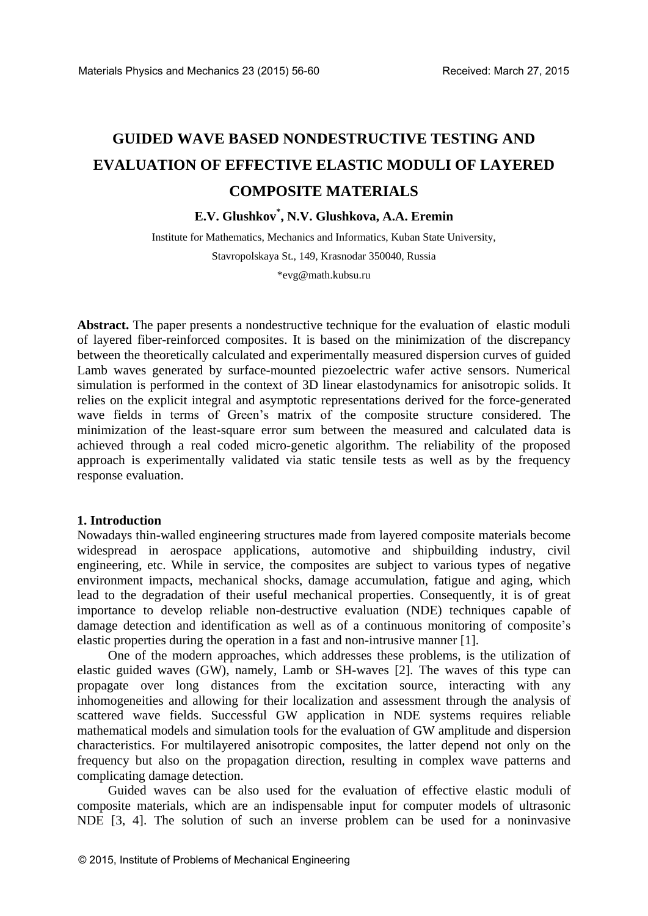# **GUIDED WAVE BASED NONDESTRUCTIVE TESTING AND EVALUATION OF EFFECTIVE ELASTIC MODULI OF LAYERED COMPOSITE MATERIALS**

## **E.V. Glushkov\* , N.V. Glushkova, A.A. Eremin**

Institute for Mathematics, Mechanics and Informatics, Kuban State University, Stavropolskaya St., 149, Krasnodar 350040, Russia

\*evg@math.kubsu.ru

Abstract. The paper presents a nondestructive technique for the evaluation of elastic moduli of layered fiber-reinforced composites. It is based on the minimization of the discrepancy between the theoretically calculated and experimentally measured dispersion curves of guided Lamb waves generated by surface-mounted piezoelectric wafer active sensors. Numerical simulation is performed in the context of 3D linear elastodynamics for anisotropic solids. It relies on the explicit integral and asymptotic representations derived for the force-generated wave fields in terms of Green's matrix of the composite structure considered. The minimization of the least-square error sum between the measured and calculated data is achieved through a real coded micro-genetic algorithm. The reliability of the proposed approach is experimentally validated via static tensile tests as well as by the frequency response evaluation.

#### **1. Introduction**

Nowadays thin-walled engineering structures made from layered composite materials become widespread in aerospace applications, automotive and shipbuilding industry, civil engineering, etc. While in service, the composites are subject to various types of negative environment impacts, mechanical shocks, damage accumulation, fatigue and aging, which lead to the degradation of their useful mechanical properties. Consequently, it is of great importance to develop reliable non-destructive evaluation (NDE) techniques capable of damage detection and identification as well as of a continuous monitoring of composite's elastic properties during the operation in a fast and non-intrusive manner [1].

One of the modern approaches, which addresses these problems, is the utilization of elastic guided waves (GW), namely, Lamb or SH-waves [2]. The waves of this type can propagate over long distances from the excitation source, interacting with any inhomogeneities and allowing for their localization and assessment through the analysis of scattered wave fields. Successful GW application in NDE systems requires reliable mathematical models and simulation tools for the evaluation of GW amplitude and dispersion characteristics. For multilayered anisotropic composites, the latter depend not only on the frequency but also on the propagation direction, resulting in complex wave patterns and complicating damage detection.

Guided waves can be also used for the evaluation of effective elastic moduli of composite materials, which are an indispensable input for computer models of ultrasonic NDE [3, 4]. The solution of such an inverse problem can be used for a noninvasive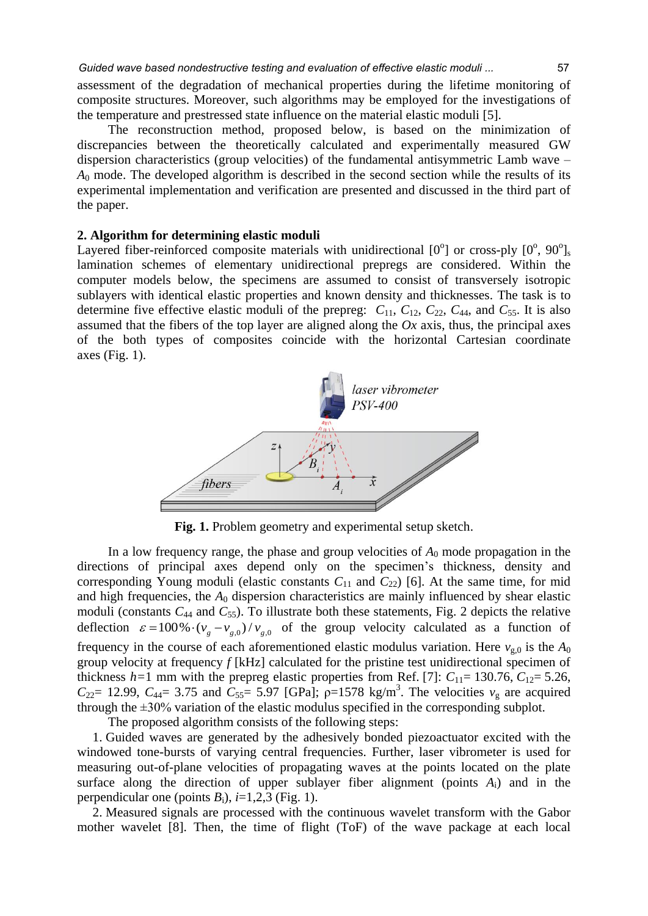assessment of the degradation of mechanical properties during the lifetime monitoring of composite structures. Moreover, such algorithms may be employed for the investigations of the temperature and prestressed state influence on the material elastic moduli [5].

The reconstruction method, proposed below, is based on the minimization of discrepancies between the theoretically calculated and experimentally measured GW dispersion characteristics (group velocities) of the fundamental antisymmetric Lamb wave – *A*0 mode. The developed algorithm is described in the second section while the results of its experimental implementation and verification are presented and discussed in the third part of the paper.

#### **2. Algorithm for determining elastic moduli**

Layered fiber-reinforced composite materials with unidirectional  $[0^{\circ}]$  or cross-ply  $[0^{\circ}, 90^{\circ}]_s$ lamination schemes of elementary unidirectional prepregs are considered. Within the computer models below, the specimens are assumed to consist of transversely isotropic sublayers with identical elastic properties and known density and thicknesses. The task is to determine five effective elastic moduli of the prepreg:  $C_{11}$ ,  $C_{12}$ ,  $C_{22}$ ,  $C_{44}$ , and  $C_{55}$ . It is also assumed that the fibers of the top layer are aligned along the *Ox* axis, thus, the principal axes of the both types of composites coincide with the horizontal Cartesian coordinate axes (Fig. 1).



**Fig. 1.** Problem geometry and experimental setup sketch.

In a low frequency range, the phase and group velocities of  $A_0$  mode propagation in the directions of principal axes depend only on the specimen's thickness, density and corresponding Young moduli (elastic constants  $C_{11}$  and  $C_{22}$ ) [6]. At the same time, for mid and high frequencies, the *A*0 dispersion characteristics are mainly influenced by shear elastic moduli (constants  $C_{44}$  and  $C_{55}$ ). To illustrate both these statements, Fig. 2 depicts the relative  $\epsilon = 100\% \cdot (v_g - v_{g,0})/v_{g,0}$  of the group velocity calculated as a function of frequency in the course of each aforementioned elastic modulus variation. Here  $v_{\rm g,0}$  is the  $A_0$ group velocity at frequency *f* [kHz] calculated for the pristine test unidirectional specimen of thickness  $h=1$  mm with the prepreg elastic properties from Ref. [7]:  $C_{11}= 130.76, C_{12}= 5.26,$  $C_{22}$ = 12.99,  $C_{44}$ = 3.75 and  $C_{55}$ = 5.97 [GPa];  $\rho$ =1578 kg/m<sup>3</sup>. The velocities  $v_{g}$  are acquired through the ±30% variation of the elastic modulus specified in the corresponding subplot.

The proposed algorithm consists of the following steps:

1. Guided waves are generated by the adhesively bonded piezoactuator excited with the windowed tone-bursts of varying central frequencies. Further, laser vibrometer is used for measuring out-of-plane velocities of propagating waves at the points located on the plate surface along the direction of upper sublayer fiber alignment (points *A*i) and in the perpendicular one (points  $B_i$ ),  $i=1,2,3$  (Fig. 1).

2. Measured signals are processed with the continuous wavelet transform with the Gabor mother wavelet [8]. Then, the time of flight (ToF) of the wave package at each local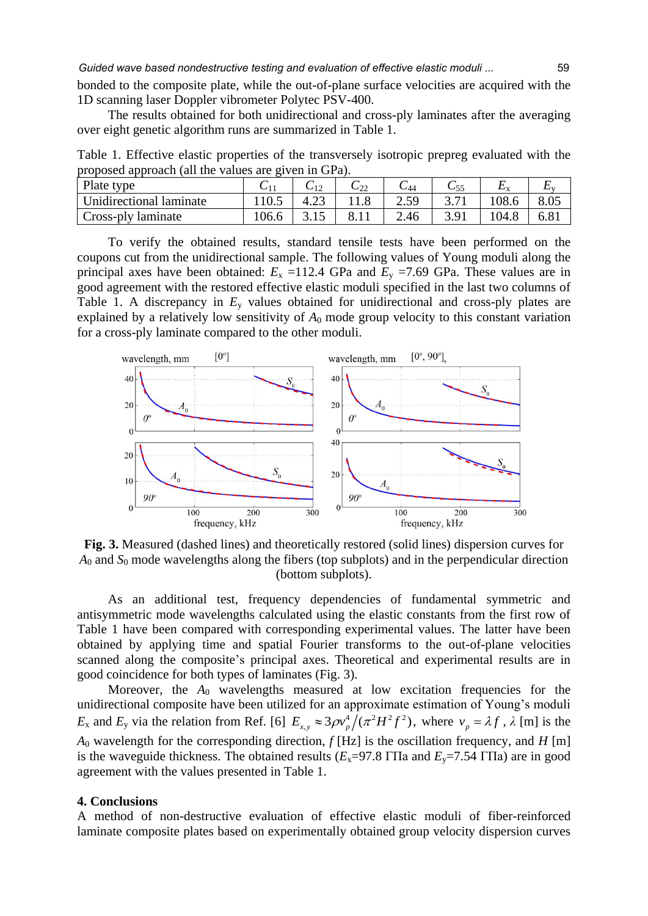*Guided wave based nondestructive testing and evaluation of effective elastic moduli ...* 59

bonded to the composite plate, while the out-of-plane surface velocities are acquired with the 1D scanning laser Doppler vibrometer Polytec PSV-400.

The results obtained for both unidirectional and cross-ply laminates after the averaging over eight genetic algorithm runs are summarized in Table 1.

Table 1. Effective elastic properties of the transversely isotropic prepreg evaluated with the proposed approach (all the values are given in GPa).

| Plate type              |       | $U_{12}$ | $\mathsf{C}_{22}$ | U 44          | ∪55  | <b>LA</b> |      |
|-------------------------|-------|----------|-------------------|---------------|------|-----------|------|
| Unidirectional laminate |       | 4.2.     |                   | 2.50<br>تەرىك |      | 108.6     |      |
| Cross-ply laminate      | 106.6 |          |                   | 2.46          | 3.91 | 104.8     | 6.8i |

To verify the obtained results, standard tensile tests have been performed on the coupons cut from the unidirectional sample. The following values of Young moduli along the principal axes have been obtained:  $E_x = 112.4$  GPa and  $E_y = 7.69$  GPa. These values are in good agreement with the restored effective elastic moduli specified in the last two columns of Table 1. A discrepancy in  $E_y$  values obtained for unidirectional and cross-ply plates are explained by a relatively low sensitivity of  $A_0$  mode group velocity to this constant variation for a cross-ply laminate compared to the other moduli.



**Fig. 3.** Measured (dashed lines) and theoretically restored (solid lines) dispersion curves for *A*<sup>0</sup> and *S*<sup>0</sup> mode wavelengths along the fibers (top subplots) and in the perpendicular direction (bottom subplots).

As an additional test, frequency dependencies of fundamental symmetric and antisymmetric mode wavelengths calculated using the elastic constants from the first row of Table 1 have been compared with corresponding experimental values. The latter have been obtained by applying time and spatial Fourier transforms to the out-of-plane velocities scanned along the composite's principal axes. Theoretical and experimental results are in good coincidence for both types of laminates (Fig. 3).

Moreover, the *A*0 wavelengths measured at low excitation frequencies for the unidirectional composite have been utilized for an approximate estimation of Young's moduli  $E_x$  and  $E_y$  via the relation from Ref. [6]  $E_{x,y} \approx 3\rho v_p^4/(\pi^2 H^2 f^2)$ , where  $v_p = \lambda f$ ,  $\lambda$  [m] is the *A*<sup>0</sup> wavelength for the corresponding direction, *f* [Hz] is the oscillation frequency, and *H* [m] is the waveguide thickness. The obtained results  $(E_x=97.8 \text{ T} \text{H}$  and  $E_y=7.54 \text{ T} \text{H}$ a) are in good agreement with the values presented in Table 1.

#### **4. Conclusions**

A method of non-destructive evaluation of effective elastic moduli of fiber-reinforced laminate composite plates based on experimentally obtained group velocity dispersion curves